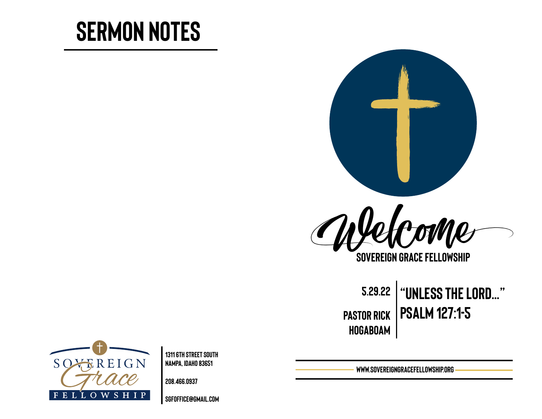# **Sermon Notes**





**Sovereign Grace Fellowship**

**5.29.22 "Unless the Lord…" Pastor rick Psalm 127:1-5 Hogaboam**



**1311 6th Street south Nampa, Idaho 83651** 

**208.466.0937** 

**[sgfoffice@gmail.com](mailto:sgfoffice@gmail.com)**

**www.SovereignGraceFellowship.org**